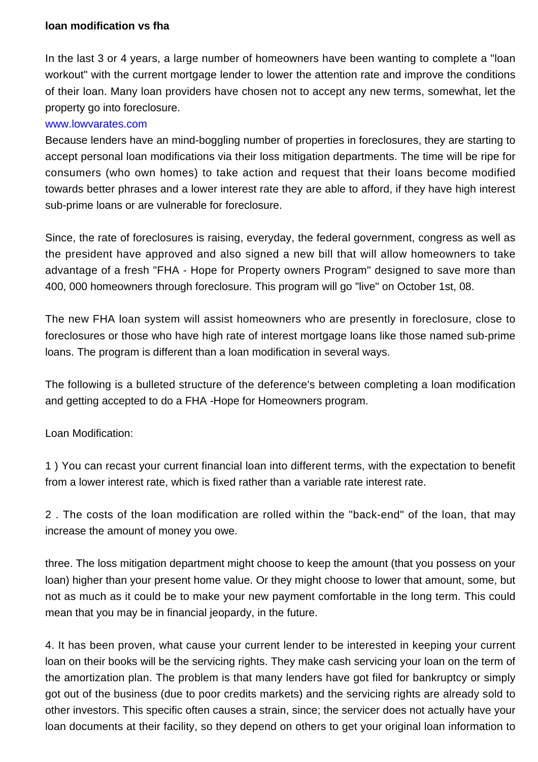## **loan modification vs fha**

In the last 3 or 4 years, a large number of homeowners have been wanting to complete a "loan workout" with the current mortgage lender to lower the attention rate and improve the conditions of their loan. Many loan providers have chosen not to accept any new terms, somewhat, let the property go into foreclosure.

## [www.lowvarates.com](http://valoans29.soup.io/post/557531893/Our-countrys-heroes-deserve-the-best)

Because lenders have an mind-boggling number of properties in foreclosures, they are starting to accept personal loan modifications via their loss mitigation departments. The time will be ripe for consumers (who own homes) to take action and request that their loans become modified towards better phrases and a lower interest rate they are able to afford, if they have high interest sub-prime loans or are vulnerable for foreclosure.

Since, the rate of foreclosures is raising, everyday, the federal government, congress as well as the president have approved and also signed a new bill that will allow homeowners to take advantage of a fresh "FHA - Hope for Property owners Program" designed to save more than 400, 000 homeowners through foreclosure. This program will go "live" on October 1st, 08.

The new FHA loan system will assist homeowners who are presently in foreclosure, close to foreclosures or those who have high rate of interest mortgage loans like those named sub-prime loans. The program is different than a loan modification in several ways.

The following is a bulleted structure of the deference's between completing a loan modification and getting accepted to do a FHA -Hope for Homeowners program.

Loan Modification:

1 ) You can recast your current financial loan into different terms, with the expectation to benefit from a lower interest rate, which is fixed rather than a variable rate interest rate.

2 . The costs of the loan modification are rolled within the "back-end" of the loan, that may increase the amount of money you owe.

three. The loss mitigation department might choose to keep the amount (that you possess on your loan) higher than your present home value. Or they might choose to lower that amount, some, but not as much as it could be to make your new payment comfortable in the long term. This could mean that you may be in financial jeopardy, in the future.

4. It has been proven, what cause your current lender to be interested in keeping your current loan on their books will be the servicing rights. They make cash servicing your loan on the term of the amortization plan. The problem is that many lenders have got filed for bankruptcy or simply got out of the business (due to poor credits markets) and the servicing rights are already sold to other investors. This specific often causes a strain, since; the servicer does not actually have your loan documents at their facility, so they depend on others to get your original loan information to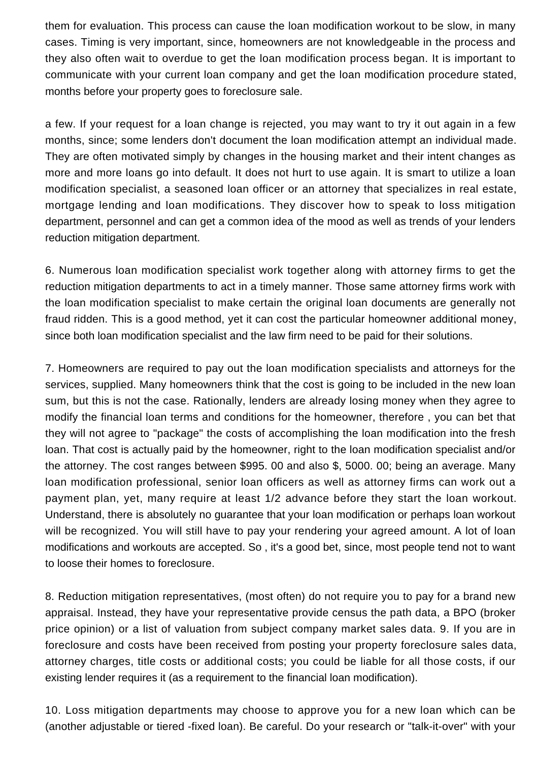them for evaluation. This process can cause the loan modification workout to be slow, in many cases. Timing is very important, since, homeowners are not knowledgeable in the process and they also often wait to overdue to get the loan modification process began. It is important to communicate with your current loan company and get the loan modification procedure stated, months before your property goes to foreclosure sale.

a few. If your request for a loan change is rejected, you may want to try it out again in a few months, since; some lenders don't document the loan modification attempt an individual made. They are often motivated simply by changes in the housing market and their intent changes as more and more loans go into default. It does not hurt to use again. It is smart to utilize a loan modification specialist, a seasoned loan officer or an attorney that specializes in real estate, mortgage lending and loan modifications. They discover how to speak to loss mitigation department, personnel and can get a common idea of the mood as well as trends of your lenders reduction mitigation department.

6. Numerous loan modification specialist work together along with attorney firms to get the reduction mitigation departments to act in a timely manner. Those same attorney firms work with the loan modification specialist to make certain the original loan documents are generally not fraud ridden. This is a good method, yet it can cost the particular homeowner additional money, since both loan modification specialist and the law firm need to be paid for their solutions.

7. Homeowners are required to pay out the loan modification specialists and attorneys for the services, supplied. Many homeowners think that the cost is going to be included in the new loan sum, but this is not the case. Rationally, lenders are already losing money when they agree to modify the financial loan terms and conditions for the homeowner, therefore , you can bet that they will not agree to "package" the costs of accomplishing the loan modification into the fresh loan. That cost is actually paid by the homeowner, right to the loan modification specialist and/or the attorney. The cost ranges between \$995. 00 and also \$, 5000. 00; being an average. Many loan modification professional, senior loan officers as well as attorney firms can work out a payment plan, yet, many require at least 1/2 advance before they start the loan workout. Understand, there is absolutely no guarantee that your loan modification or perhaps loan workout will be recognized. You will still have to pay your rendering your agreed amount. A lot of loan modifications and workouts are accepted. So , it's a good bet, since, most people tend not to want to loose their homes to foreclosure.

8. Reduction mitigation representatives, (most often) do not require you to pay for a brand new appraisal. Instead, they have your representative provide census the path data, a BPO (broker price opinion) or a list of valuation from subject company market sales data. 9. If you are in foreclosure and costs have been received from posting your property foreclosure sales data, attorney charges, title costs or additional costs; you could be liable for all those costs, if our existing lender requires it (as a requirement to the financial loan modification).

10. Loss mitigation departments may choose to approve you for a new loan which can be (another adjustable or tiered -fixed loan). Be careful. Do your research or "talk-it-over" with your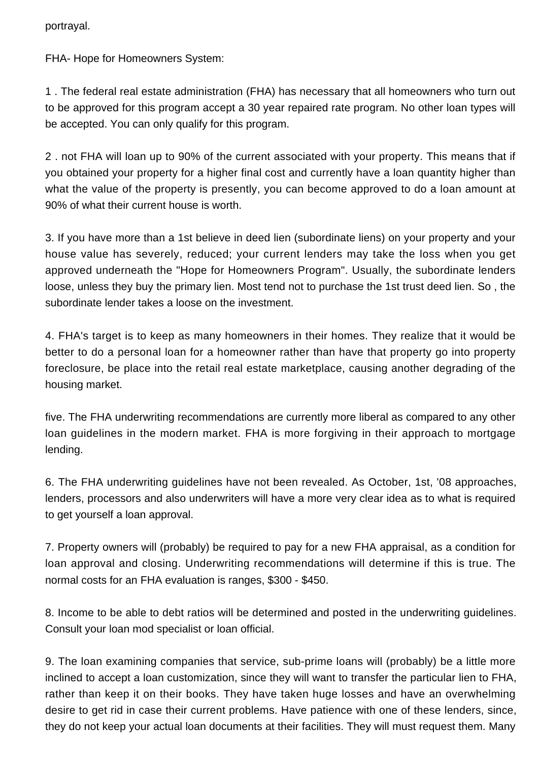portrayal.

FHA- Hope for Homeowners System:

1 . The federal real estate administration (FHA) has necessary that all homeowners who turn out to be approved for this program accept a 30 year repaired rate program. No other loan types will be accepted. You can only qualify for this program.

2 . not FHA will loan up to 90% of the current associated with your property. This means that if you obtained your property for a higher final cost and currently have a loan quantity higher than what the value of the property is presently, you can become approved to do a loan amount at 90% of what their current house is worth.

3. If you have more than a 1st believe in deed lien (subordinate liens) on your property and your house value has severely, reduced; your current lenders may take the loss when you get approved underneath the "Hope for Homeowners Program". Usually, the subordinate lenders loose, unless they buy the primary lien. Most tend not to purchase the 1st trust deed lien. So , the subordinate lender takes a loose on the investment.

4. FHA's target is to keep as many homeowners in their homes. They realize that it would be better to do a personal loan for a homeowner rather than have that property go into property foreclosure, be place into the retail real estate marketplace, causing another degrading of the housing market.

five. The FHA underwriting recommendations are currently more liberal as compared to any other loan guidelines in the modern market. FHA is more forgiving in their approach to mortgage lending.

6. The FHA underwriting guidelines have not been revealed. As October, 1st, '08 approaches, lenders, processors and also underwriters will have a more very clear idea as to what is required to get yourself a loan approval.

7. Property owners will (probably) be required to pay for a new FHA appraisal, as a condition for loan approval and closing. Underwriting recommendations will determine if this is true. The normal costs for an FHA evaluation is ranges, \$300 - \$450.

8. Income to be able to debt ratios will be determined and posted in the underwriting guidelines. Consult your loan mod specialist or loan official.

9. The loan examining companies that service, sub-prime loans will (probably) be a little more inclined to accept a loan customization, since they will want to transfer the particular lien to FHA, rather than keep it on their books. They have taken huge losses and have an overwhelming desire to get rid in case their current problems. Have patience with one of these lenders, since, they do not keep your actual loan documents at their facilities. They will must request them. Many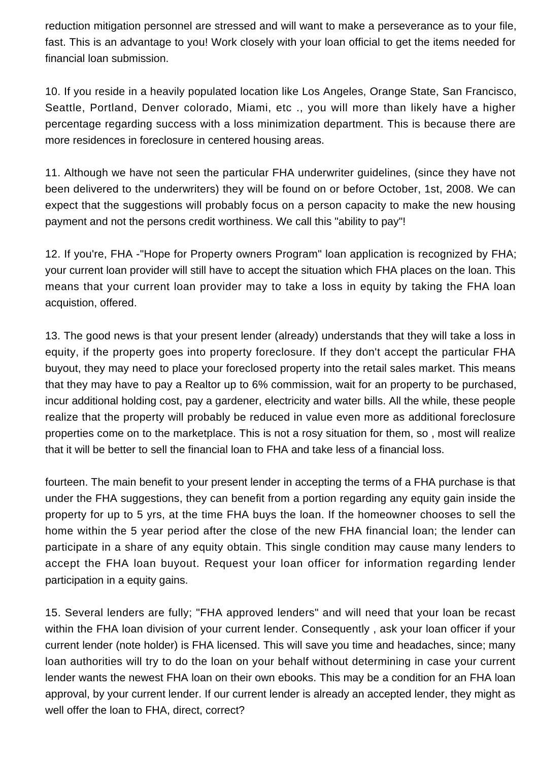reduction mitigation personnel are stressed and will want to make a perseverance as to your file, fast. This is an advantage to you! Work closely with your loan official to get the items needed for financial loan submission.

10. If you reside in a heavily populated location like Los Angeles, Orange State, San Francisco, Seattle, Portland, Denver colorado, Miami, etc ., you will more than likely have a higher percentage regarding success with a loss minimization department. This is because there are more residences in foreclosure in centered housing areas.

11. Although we have not seen the particular FHA underwriter guidelines, (since they have not been delivered to the underwriters) they will be found on or before October, 1st, 2008. We can expect that the suggestions will probably focus on a person capacity to make the new housing payment and not the persons credit worthiness. We call this "ability to pay"!

12. If you're, FHA -"Hope for Property owners Program" loan application is recognized by FHA; your current loan provider will still have to accept the situation which FHA places on the loan. This means that your current loan provider may to take a loss in equity by taking the FHA loan acquistion, offered.

13. The good news is that your present lender (already) understands that they will take a loss in equity, if the property goes into property foreclosure. If they don't accept the particular FHA buyout, they may need to place your foreclosed property into the retail sales market. This means that they may have to pay a Realtor up to 6% commission, wait for an property to be purchased, incur additional holding cost, pay a gardener, electricity and water bills. All the while, these people realize that the property will probably be reduced in value even more as additional foreclosure properties come on to the marketplace. This is not a rosy situation for them, so , most will realize that it will be better to sell the financial loan to FHA and take less of a financial loss.

fourteen. The main benefit to your present lender in accepting the terms of a FHA purchase is that under the FHA suggestions, they can benefit from a portion regarding any equity gain inside the property for up to 5 yrs, at the time FHA buys the loan. If the homeowner chooses to sell the home within the 5 year period after the close of the new FHA financial loan; the lender can participate in a share of any equity obtain. This single condition may cause many lenders to accept the FHA loan buyout. Request your loan officer for information regarding lender participation in a equity gains.

15. Several lenders are fully; "FHA approved lenders" and will need that your loan be recast within the FHA loan division of your current lender. Consequently, ask your loan officer if your current lender (note holder) is FHA licensed. This will save you time and headaches, since; many loan authorities will try to do the loan on your behalf without determining in case your current lender wants the newest FHA loan on their own ebooks. This may be a condition for an FHA loan approval, by your current lender. If our current lender is already an accepted lender, they might as well offer the loan to FHA, direct, correct?